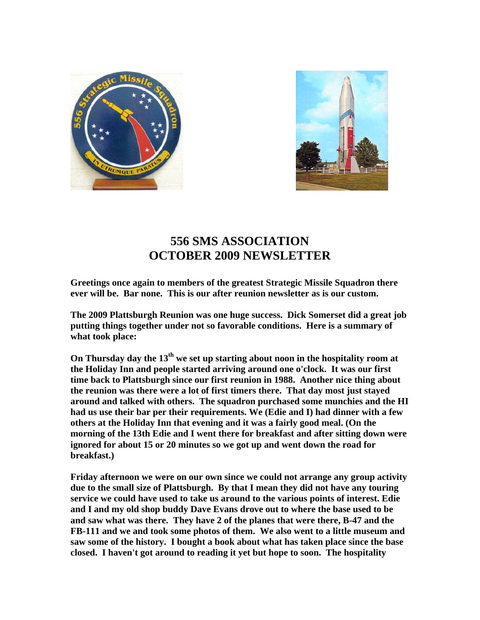



## **556 SMS ASSOCIATION OCTOBER 2009 NEWSLETTER**

**Greetings once again to members of the greatest Strategic Missile Squadron there ever will be. Bar none. This is our after reunion newsletter as is our custom.** 

**The 2009 Plattsburgh Reunion was one huge success. Dick Somerset did a great job putting things together under not so favorable conditions. Here is a summary of what took place:** 

On Thursday day the 13<sup>th</sup> we set up starting about noon in the hospitality room at **the Holiday Inn and people started arriving around one o'clock. It was our first time back to Plattsburgh since our first reunion in 1988. Another nice thing about the reunion was there were a lot of first timers there. That day most just stayed around and talked with others. The squadron purchased some munchies and the HI had us use their bar per their requirements. We (Edie and I) had dinner with a few others at the Holiday Inn that evening and it was a fairly good meal. (On the morning of the 13th Edie and I went there for breakfast and after sitting down were ignored for about 15 or 20 minutes so we got up and went down the road for breakfast.)** 

**Friday afternoon we were on our own since we could not arrange any group activity due to the small size of Plattsburgh. By that I mean they did not have any touring service we could have used to take us around to the various points of interest. Edie and I and my old shop buddy Dave Evans drove out to where the base used to be and saw what was there. They have 2 of the planes that were there, B-47 and the FB-111 and we and took some photos of them. We also went to a little museum and saw some of the history. I bought a book about what has taken place since the base closed. I haven't got around to reading it yet but hope to soon. The hospitality**